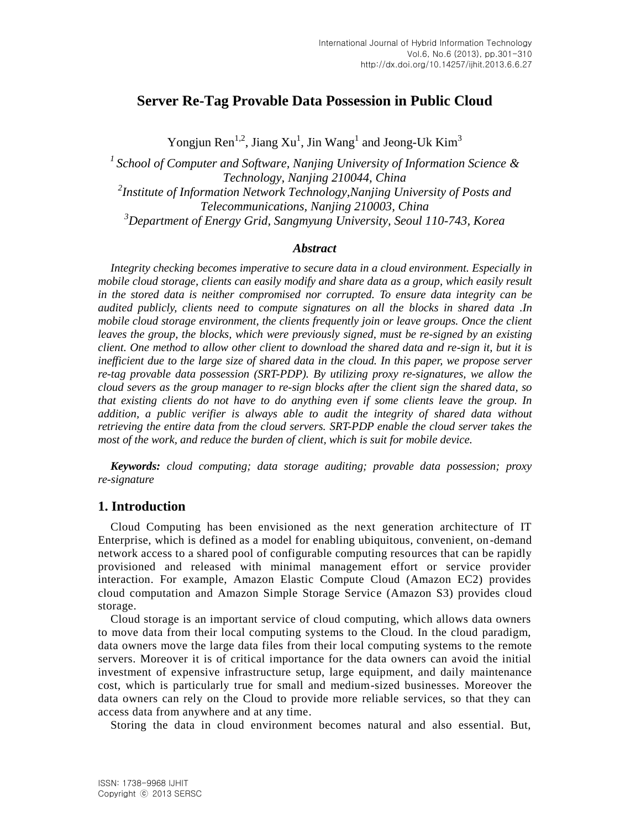# **Server Re-Tag Provable Data Possession in Public Cloud**

Yongjun Ren<sup>1,2</sup>, Jiang Xu<sup>1</sup>, Jin Wang<sup>1</sup> and Jeong-Uk Kim<sup>3</sup>

*<sup>1</sup>School of Computer and Software, Nanjing University of Information Science & Technology, Nanjing 210044, China 2 Institute of Information Network Technology,Nanjing University of Posts and Telecommunications, Nanjing 210003, China <sup>3</sup>Department of Energy Grid, Sangmyung University, Seoul 110-743, Korea*

## *Abstract*

*Integrity checking becomes imperative to secure data in a cloud environment. Especially in mobile cloud storage, clients can easily modify and share data as a group, which easily result in the stored data is neither compromised nor corrupted. To ensure data integrity can be audited publicly, clients need to compute signatures on all the blocks in shared data .In mobile cloud storage environment, the clients frequently join or leave groups. Once the client leaves the group, the blocks, which were previously signed, must be re-signed by an existing client. One method to allow other client to download the shared data and re-sign it, but it is inefficient due to the large size of shared data in the cloud. In this paper, we propose server re-tag provable data possession (SRT-PDP). By utilizing proxy re-signatures, we allow the cloud severs as the group manager to re-sign blocks after the client sign the shared data, so that existing clients do not have to do anything even if some clients leave the group. In addition, a public verifier is always able to audit the integrity of shared data without retrieving the entire data from the cloud servers. SRT-PDP enable the cloud server takes the most of the work, and reduce the burden of client, which is suit for mobile device.*

*Keywords: cloud computing; data storage auditing; provable data possession; proxy re-signature*

## **1. Introduction**

Cloud Computing has been envisioned as the next generation architecture of IT Enterprise, which is defined as a model for enabling ubiquitous, convenient, on-demand network access to a shared pool of configurable computing resources that can be rapidly provisioned and released with minimal management effort or service provider interaction. For example, Amazon Elastic Compute Cloud (Amazon EC2) provides cloud computation and Amazon Simple Storage Service (Amazon S3) provides cloud storage.

Cloud storage is an important service of cloud computing, which allows data owners to move data from their local computing systems to the Cloud. In the cloud paradigm, data owners move the large data files from their local computing systems to the remote servers. Moreover it is of critical importance for the data owners can avoid the initial investment of expensive infrastructure setup, large equipment, and daily maintenance cost, which is particularly true for small and medium-sized businesses. Moreover the data owners can rely on the Cloud to provide more reliable services, so that they can access data from anywhere and at any time.

Storing the data in cloud environment becomes natural and also essential. But,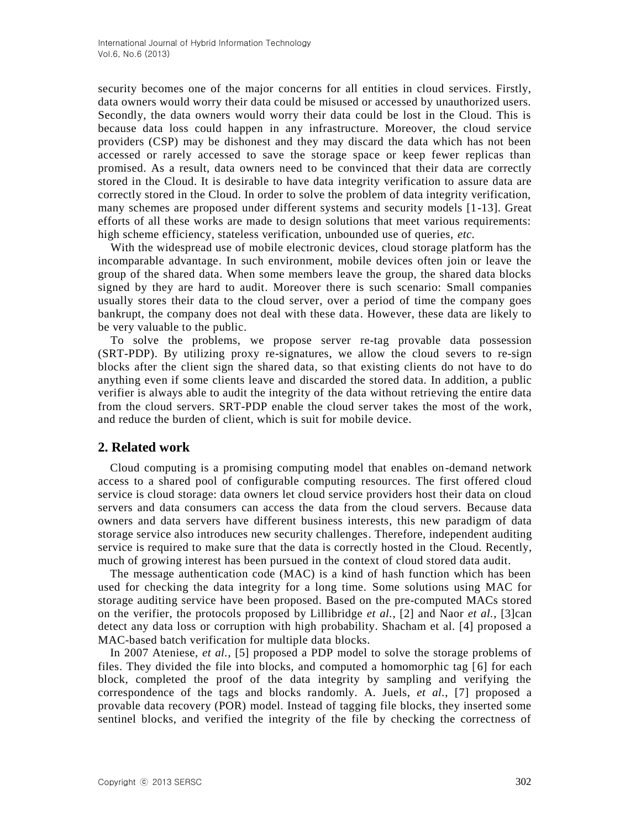security becomes one of the major concerns for all entities in cloud services. Firstly, data owners would worry their data could be misused or accessed by unauthorized users. Secondly, the data owners would worry their data could be lost in the Cloud. This is because data loss could happen in any infrastructure. Moreover, the cloud service providers (CSP) may be dishonest and they may discard the data which has not been accessed or rarely accessed to save the storage space or keep fewer replicas than promised. As a result, data owners need to be convinced that their data are correctly stored in the Cloud. It is desirable to have data integrity verification to assure data are correctly stored in the Cloud. In order to solve the problem of data integrity verification, many schemes are proposed under different systems and security models [1-13]. Great efforts of all these works are made to design solutions that meet various requirements: high scheme efficiency, stateless verification, unbounded use of queries, *etc.* 

With the widespread use of mobile electronic devices, cloud storage platform has the incomparable advantage. In such environment, mobile devices often join or leave the group of the shared data. When some members leave the group, the shared data blocks signed by they are hard to audit. Moreover there is such scenario: Small companies usually stores their data to the cloud server, over a period of time the company goes bankrupt, the company does not deal with these data. However, these data are likely to be very valuable to the public.

To solve the problems, we propose server re-tag provable data possession (SRT-PDP). By utilizing proxy re-signatures, we allow the cloud severs to re-sign blocks after the client sign the shared data, so that existing clients do not have to do anything even if some clients leave and discarded the stored data. In addition, a public verifier is always able to audit the integrity of the data without retrieving the entire data from the cloud servers. SRT-PDP enable the cloud server takes the most of the work, and reduce the burden of client, which is suit for mobile device.

## **2. Related work**

Cloud computing is a promising computing model that enables on-demand network access to a shared pool of configurable computing resources. The first offered cloud service is cloud storage: data owners let cloud service providers host their data on cloud servers and data consumers can access the data from the cloud servers. Because data owners and data servers have different business interests, this new paradigm of data storage service also introduces new security challenges. Therefore, independent auditing service is required to make sure that the data is correctly hosted in the Cloud. Recently, much of growing interest has been pursued in the context of cloud stored data audit.

The message authentication code (MAC) is a kind of hash function which has been used for checking the data integrity for a long time. Some solutions using MAC for storage auditing service have been proposed. Based on the pre-computed MACs stored on the verifier, the protocols proposed by Lillibridge *et al.*, [2] and Naor *et al.*, [3]can detect any data loss or corruption with high probability. Shacham et al. [4] proposed a MAC-based batch verification for multiple data blocks.

In 2007 Ateniese, *et al.*, [5] proposed a PDP model to solve the storage problems of files. They divided the file into blocks, and computed a homomorphic tag [6] for each block, completed the proof of the data integrity by sampling and verifying the correspondence of the tags and blocks randomly. A. Juels, *et al.*, [7] proposed a provable data recovery (POR) model. Instead of tagging file blocks, they inserted some sentinel blocks, and verified the integrity of the file by checking the correctness of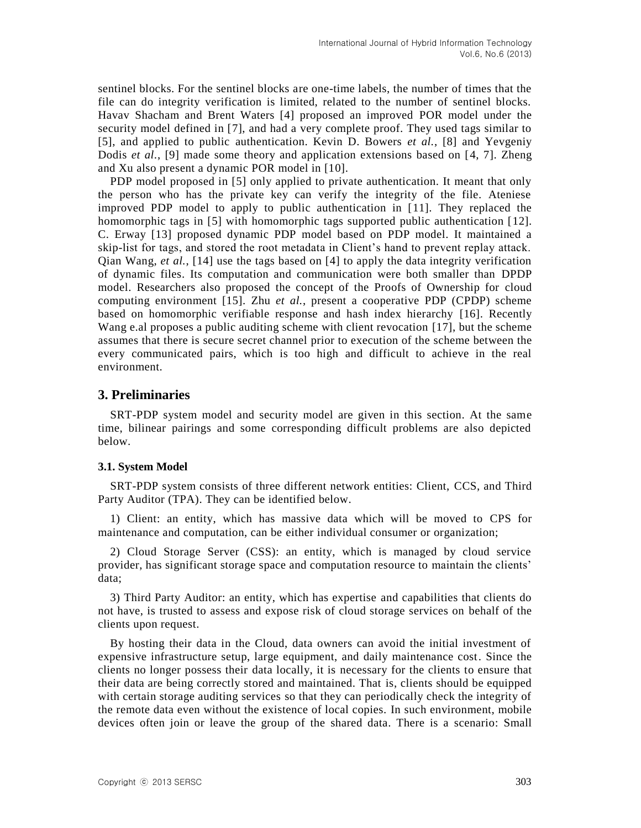sentinel blocks. For the sentinel blocks are one-time labels, the number of times that the file can do integrity verification is limited, related to the number of sentinel blocks. Havav Shacham and Brent Waters [4] proposed an improved POR model under the security model defined in [7], and had a very complete proof. They used tags similar to [5], and applied to public authentication. Kevin D. Bowers *et al.*, [8] and Yevgeniy Dodis *et al.*, [9] made some theory and application extensions based on [4, 7]. Zheng and Xu also present a dynamic POR model in [10].

PDP model proposed in [5] only applied to private authentication. It meant that only the person who has the private key can verify the integrity of the file. Ateniese improved PDP model to apply to public authentication in [11]. They replaced the homomorphic tags in [5] with homomorphic tags supported public authentication [12]. C. Erway [13] proposed dynamic PDP model based on PDP model. It maintained a skip-list for tags, and stored the root metadata in Client's hand to prevent replay attack. Qian Wang, *et al.*, [14] use the tags based on [4] to apply the data integrity verification of dynamic files. Its computation and communication were both smaller than DPDP model. Researchers also proposed the concept of the Proofs of Ownership for cloud computing environment [15]. Zhu *et al.*, present a cooperative PDP (CPDP) scheme based on homomorphic verifiable response and hash index hierarchy [16]. Recently Wang e.al proposes a public auditing scheme with client revocation [17], but the scheme assumes that there is secure secret channel prior to execution of the scheme between the every communicated pairs, which is too high and difficult to achieve in the real environment.

## **3. Preliminaries**

SRT-PDP system model and security model are given in this section. At the same time, bilinear pairings and some corresponding difficult problems are also depicted below.

#### **3.1. System Model**

SRT-PDP system consists of three different network entities: Client, CCS, and Third Party Auditor (TPA). They can be identified below.

1) Client: an entity, which has massive data which will be moved to CPS for maintenance and computation, can be either individual consumer or organization;

2) Cloud Storage Server (CSS): an entity, which is managed by cloud service provider, has significant storage space and computation resource to maintain the clients' data;

3) Third Party Auditor: an entity, which has expertise and capabilities that clients do not have, is trusted to assess and expose risk of cloud storage services on behalf of the clients upon request.

By hosting their data in the Cloud, data owners can avoid the initial investment of expensive infrastructure setup, large equipment, and daily maintenance cost. Since the clients no longer possess their data locally, it is necessary for the clients to ensure that their data are being correctly stored and maintained. That is, clients should be equipped with certain storage auditing services so that they can periodically check the integrity of the remote data even without the existence of local copies. In such environment, mobile devices often join or leave the group of the shared data. There is a scenario: Small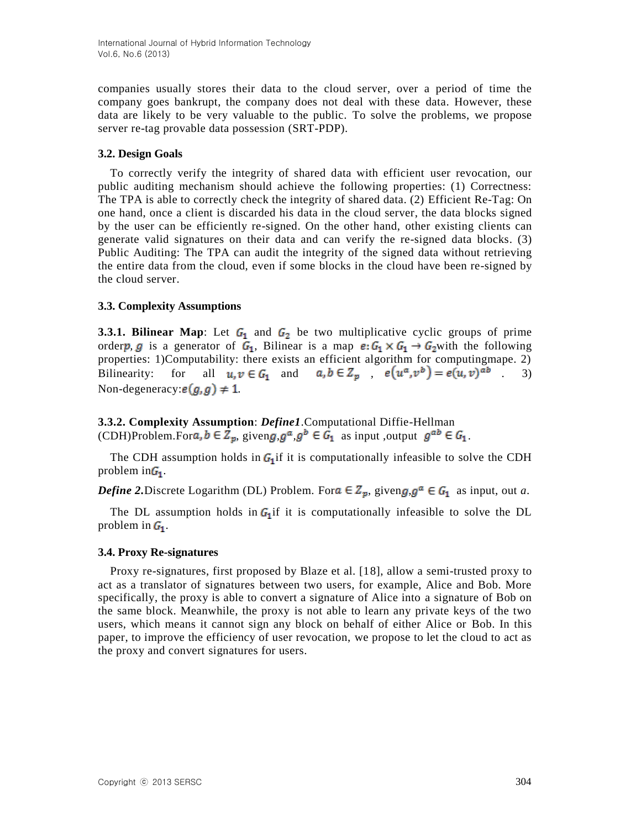companies usually stores their data to the cloud server, over a period of time the company goes bankrupt, the company does not deal with these data. However, these data are likely to be very valuable to the public. To solve the problems, we propose server re-tag provable data possession (SRT-PDP).

## **3.2. Design Goals**

To correctly verify the integrity of shared data with efficient user revocation, our public auditing mechanism should achieve the following properties: (1) Correctness: The TPA is able to correctly check the integrity of shared data. (2) Efficient Re-Tag: On one hand, once a client is discarded his data in the cloud server, the data blocks signed by the user can be efficiently re-signed. On the other hand, other existing clients can generate valid signatures on their data and can verify the re-signed data blocks. (3) Public Auditing: The TPA can audit the integrity of the signed data without retrieving the entire data from the cloud, even if some blocks in the cloud have been re-signed by the cloud server.

## **3.3. Complexity Assumptions**

**3.3.1. Bilinear Map**: Let  $G_1$  and  $G_2$  be two multiplicative cyclic groups of prime orderp, g is a generator of  $G_1$ , Bilinear is a map  $e: G_1 \times G_1 \rightarrow G_2$  with the following properties: 1)Computability: there exists an efficient algorithm for computingmape. 2) Bilinearity: for all  $u, v \in G_1$  and  $a, b \in Z_p$ ,  $e(u^a, v^b) = e(u, v)^{ab}$ . 3) Non-degeneracy:  $e(g, g) \neq 1$ .

**3.3.2. Complexity Assumption**: *Define1*.Computational Diffie-Hellman (CDH)Problem.For  $a, b \in \mathbb{Z}_p$ , given  $g, g^a, g^b \in \mathbb{G}_1$  as input, output  $g^{ab} \in \mathbb{G}_1$ .

The CDH assumption holds in  $G_1$  if it is computationally infeasible to solve the CDH problem in  $G_1$ .

*Define* 2. Discrete Logarithm (DL) Problem. For  $a \in \mathbb{Z}_p$ , given  $g, g^a \in G_1$  as input, out *a*.

The DL assumption holds in  $G_1$  if it is computationally infeasible to solve the DL problem in  $G_1$ .

## **3.4. Proxy Re-signatures**

Proxy re-signatures, first proposed by Blaze et al. [18], allow a semi-trusted proxy to act as a translator of signatures between two users, for example, Alice and Bob. More specifically, the proxy is able to convert a signature of Alice into a signature of Bob on the same block. Meanwhile, the proxy is not able to learn any private keys of the two users, which means it cannot sign any block on behalf of either Alice or Bob. In this paper, to improve the efficiency of user revocation, we propose to let the cloud to act as the proxy and convert signatures for users.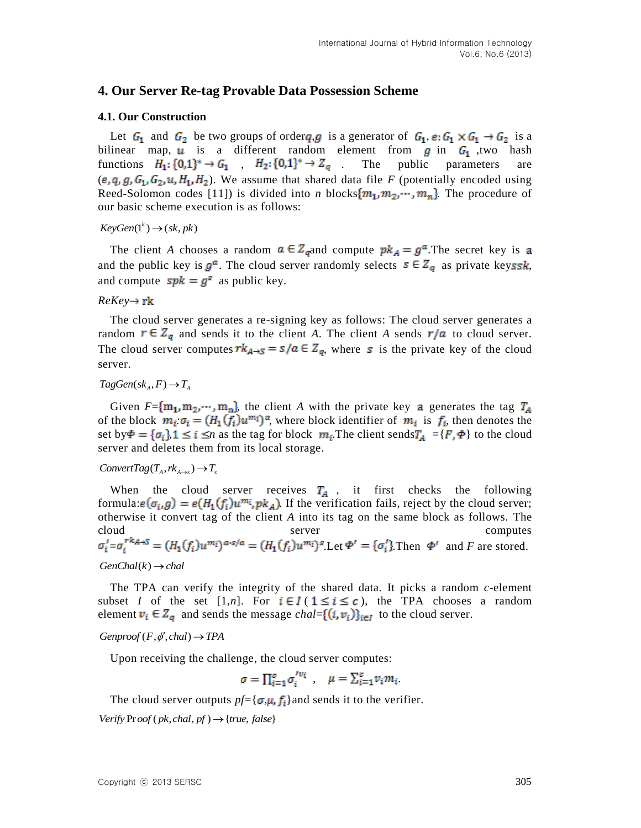## **4. Our Server Re-tag Provable Data Possession Scheme**

#### **4.1. Our Construction**

Let  $G_1$  and  $G_2$  be two groups of order *q*, *g* is a generator of  $G_1$ ,  $e: G_1 \times G_1 \to G_2$  is a bilinear map,  $\vec{u}$  is a different random element from  $\vec{g}$  in  $\vec{G}_1$ , two hash functions  $H_1: \{0,1\}^* \to G_1$  ,  $H_2: \{0,1\}^* \to Z_q$  The public parameters are  $(e, q, g, G_1, G_2, u, H_1, H_2)$ . We assume that shared data file *F* (potentially encoded using Reed-Solomon codes [11]) is divided into *n* blocks  $\{m_1, m_2, \dots, m_n\}$  The procedure of our basic scheme execution is as follows:

 $KeyGen(1^k) \rightarrow (sk, pk)$ 

The client *A* chooses a random  $a \in Z_q$  and compute  $pk_A = g^a$ . The secret key is a and the public key is  $g^a$ . The cloud server randomly selects  $s \in Z_q$  as private keyssk, and compute  $spk = g^s$  as public key.

#### *ReKey*

The cloud server generates a re-signing key as follows: The cloud server generates a random  $r \in Z_q$  and sends it to the client *A*. The client *A* sends  $r/a$  to cloud server. The cloud server computes  $rk_{A\rightarrow S} = s/a \in Z_q$ , where s is the private key of the cloud server.

## $TagGen(sk_A, F) \rightarrow T_A$

Given  $F = \{m_1, m_2, \dots, m_n\}$ , the client *A* with the private key **a** generates the tag  $T_A$ of the block  $m_i \sigma_i = (H_1(\overline{f_i})u^{m_i})^a$ , where block identifier of  $m_i$  is  $f_i$ , then denotes the set by  $\Phi = {\sigma_i}$   $1 \le i \le n$  as the tag for block  $m_i$ . The client sends  $T_A = {F, \Phi}$  to the cloud server and deletes them from its local storage.

 $ConvertTag(T_A, rk_{A\rightarrow s}) \rightarrow T_s$ 

When the cloud server receives  $T_A$ , it first checks the following formula:  $e(\sigma_i, g) = e(H_1(f_i)u^{m_i}, p k_A)$ . If the verification fails, reject by the cloud server; otherwise it convert tag of the client *A* into its tag on the same block as follows. The cloud server computes  $=\sigma_i^{(n)} = (H_1(f_i)u^{m_i})^{a \cdot s/a} = (H_1(f_i)u^{m_i})^s$ . Let  $\Phi' = {\sigma_i}$ . Then  $\Phi'$  and *F* are stored.

#### $GenChal(k) \rightarrow chal$

The TPA can verify the integrity of the shared data. It picks a random *c*-element subset *I* of the set [1,*n*]. For  $i \in I$  ( $1 \le i \le c$ ), the TPA chooses a random element  $v_i \in Z_q$  and sends the message *chal*= $\{(i, v_i)\}_{i \in I}$  to the cloud server.

#### $Genproof(F, \phi', chal) \rightarrow TPA$

Upon receiving the challenge, the cloud server computes:

$$
\sigma = \prod_{i=1}^{c} \sigma_i^{'v_i} \qquad \mu = \sum_{i=1}^{c} v_i m_i
$$

The cloud server outputs  $pf = {\sigma, \mu, f_i}$  and sends it to the verifier.  $Verify Prof ( pk, chal, pf) \rightarrow { true, false }$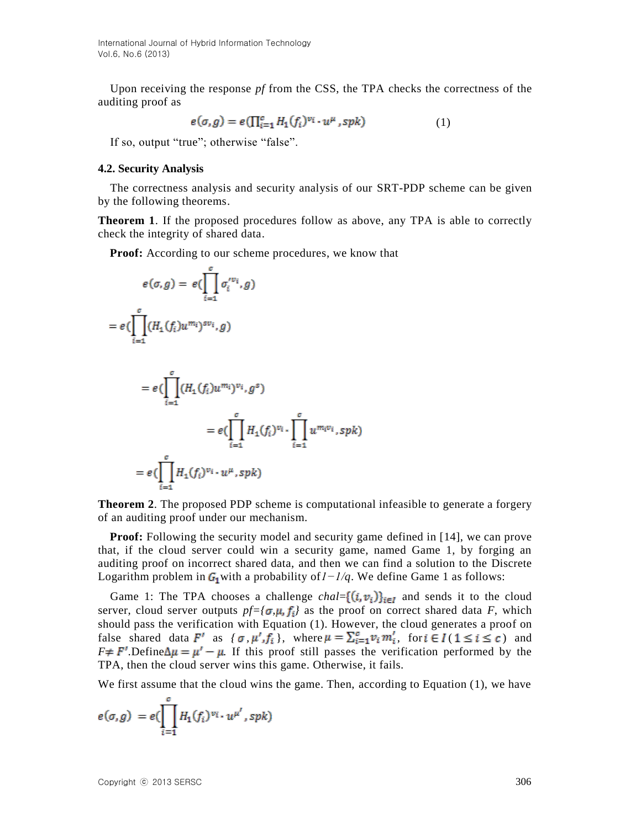Upon receiving the response *pf* from the CSS, the TPA checks the correctness of the auditing proof as

$$
e(\sigma, g) = e(\prod_{i=1}^{c} H_1(f_i)^{v_i} \cdot u^{\mu}, \, spk) \tag{1}
$$

If so, output "true"; otherwise "false".

#### **4.2. Security Analysis**

The correctness analysis and security analysis of our SRT-PDP scheme can be given by the following theorems.

**Theorem 1**. If the proposed procedures follow as above, any TPA is able to correctly check the integrity of shared data.

**Proof:** According to our scheme procedures, we know that

$$
e(\sigma, g) = e(\prod_{i=1}^{c} \sigma_i^{\prime v_i}, g)
$$
  
\n
$$
= e(\prod_{i=1}^{c} (H_1(f_i)u^{m_i})^{sv_i}, g)
$$
  
\n
$$
= e(\prod_{i=1}^{c} (H_1(f_i)u^{m_i})^{v_i}, g^s)
$$
  
\n
$$
= e(\prod_{i=1}^{c} H_1(f_i)^{v_i} \cdot \prod_{i=1}^{c} u^{m_i v_i}, spk)
$$
  
\n
$$
= e(\prod_{i=1}^{c} H_1(f_i)^{v_i} \cdot u^{\mu}, spk)
$$

**Theorem 2.** The proposed PDP scheme is computational infeasible to generate a forgery of an auditing proof under our mechanism.

**Proof:** Following the security model and security game defined in [14], we can prove that, if the cloud server could win a security game, named Game 1, by forging an auditing proof on incorrect shared data, and then we can find a solution to the Discrete Logarithm problem in G<sub>1</sub> with a probability of  $1 - 1/q$ . We define Game 1 as follows:

Game 1: The TPA chooses a challenge  $chal = {(i, v_i)}_{i \in I}$  and sends it to the cloud server, cloud server outputs  $pf = {\sigma, \mu, f_i}$  as the proof on correct shared data *F*, which should pass the verification with Equation (1). However, the cloud generates a proof on false shared data  $F'$  as  $\{\sigma, \mu', f_i\}$ , where  $\mu = \sum_{i=1}^{c} v_i m'_i$ , for  $i \in I$  ( $1 \le i \le c$ ) and  $F \neq F'$ . Define  $\Delta \mu = \mu' - \mu$ . If this proof still passes the verification performed by the TPA, then the cloud server wins this game. Otherwise, it fails.

We first assume that the cloud wins the game. Then, according to Equation (1), we have

$$
e(\sigma,g) = e(\prod_{i=1}^c H_1(f_i)^{v_i} \cdot u^{\mu'},spk)
$$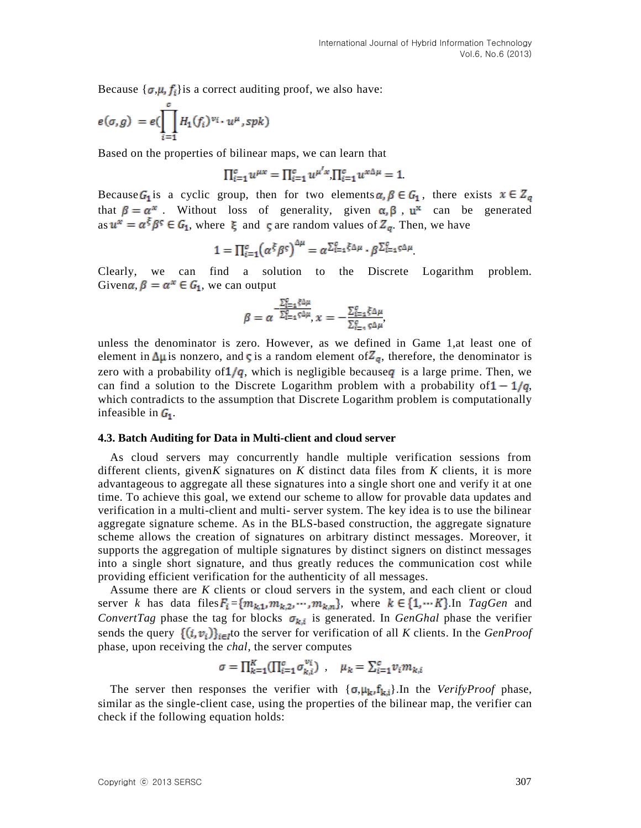Because  $\{\sigma, \mu, f_i\}$  is a correct auditing proof, we also have:

$$
e(\sigma,g) = e(\prod_{i=1}^c H_1(f_i)^{v_i} \cdot u^{\mu},spk)
$$

Based on the properties of bilinear maps, we can learn that

$$
\Pi_{i=1}^{c} u^{\mu x} = \Pi_{i=1}^{c} u^{\mu' x} \Pi_{i=1}^{c} u^{x \Delta \mu} = 1.
$$

Because  $G_1$  is a cyclic group, then for two elements  $\alpha, \beta \in G_1$ , there exists  $x \in Z_q$ that  $\beta = \alpha^x$ . Without loss of generality, given  $\alpha, \beta$ ,  $\mu^x$  can be generated as  $u^x = \alpha^{\xi} \beta^{\varsigma} \in G_1$ , where  $\xi$  and  $\varsigma$  are random values of  $Z_q$ . Then, we have

$$
1 = \prod_{i=1}^{c} (\alpha^{\xi} \beta^{\varsigma})^{\Delta \mu} = \alpha^{\sum_{i=1}^{c} \xi \Delta \mu} \cdot \beta^{\sum_{i=1}^{c} \varsigma \Delta \mu}
$$

Clearly, we can find a solution to the Discrete Logarithm problem. Given $\alpha$ ,  $\beta = \alpha^x \in G_1$ , we can output

$$
\beta = \alpha^{-\frac{\sum_{i=1}^{C} \xi \Delta \mu}{\sum_{i=1}^{C} \xi \Delta \mu}}, x = -\frac{\sum_{i=1}^{C} \xi \Delta \mu}{\sum_{i=1}^{C} \xi \Delta \mu}
$$

unless the denominator is zero. However, as we defined in Game 1,at least one of element in  $\Delta \mu$  is nonzero, and **c** is a random element of  $Z_q$ , therefore, the denominator is zero with a probability of  $1/q$ , which is negligible because q is a large prime. Then, we can find a solution to the Discrete Logarithm problem with a probability of  $1 - 1/q$ , which contradicts to the assumption that Discrete Logarithm problem is computationally infeasible in  $G_1$ .

#### **4.3. Batch Auditing for Data in Multi-client and cloud server**

As cloud servers may concurrently handle multiple verification sessions from different clients, given*K* signatures on *K* distinct data files from *K* clients, it is more advantageous to aggregate all these signatures into a single short one and verify it at one time. To achieve this goal, we extend our scheme to allow for provable data updates and verification in a multi-client and multi- server system. The key idea is to use the bilinear aggregate signature scheme. As in the BLS-based construction, the aggregate signature scheme allows the creation of signatures on arbitrary distinct messages. Moreover, it supports the aggregation of multiple signatures by distinct signers on distinct messages into a single short signature, and thus greatly reduces the communication cost while providing efficient verification for the authenticity of all messages.

Assume there are *K* clients or cloud servers in the system, and each client or cloud server *k* has data files  $F_i = \{m_{k,1}, m_{k,2}, \dots, m_{k,n}\}$ , where  $k \in \{1, \dots K\}$ . In *TagGen* and *ConvertTag* phase the tag for blocks  $\sigma_{k,i}$  is generated. In *GenGhal* phase the verifier sends the query  $\{(i, v_i)\}_{i \in I}$  to the server for verification of all *K* clients. In the *GenProof* phase, upon receiving the *chal*, the server computes

$$
\sigma = \prod_{k=1}^{K} (\prod_{i=1}^{c} \sigma_{k,i}^{v_i}) \ , \quad \mu_k = \sum_{i=1}^{c} v_i m_{k,i}
$$

The server then responses the verifier with  $\{\sigma, \mu_k, f_{k,i}\}$ . In the *VerifyProof* phase, similar as the single-client case, using the properties of the bilinear map, the verifier can check if the following equation holds: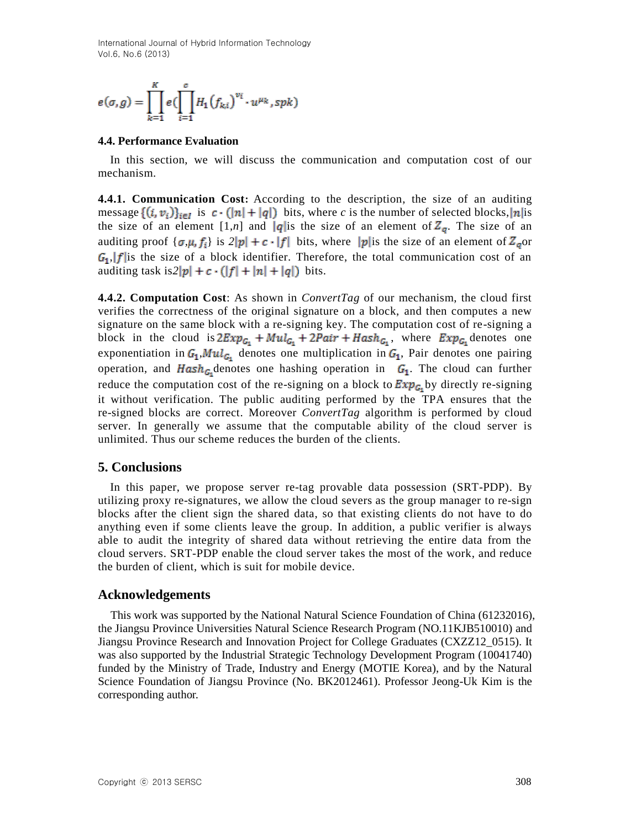International Journal of Hybrid Information Technology Vol.6, No.6 (2013)

$$
e(\sigma, g) = \prod_{k=1}^K e(\prod_{i=1}^c H_1(f_{k,i})^{v_i} \cdot u^{\mu_k}, spk)
$$

#### **4.4. Performance Evaluation**

In this section, we will discuss the communication and computation cost of our mechanism.

**4.4.1. Communication Cost:** According to the description, the size of an auditing message  $\{(i, v_i)\}_{i \in I}$  is  $c \cdot (|n| + |q|)$  bits, where *c* is the number of selected blocks, |n|is the size of an element  $[1,n]$  and  $|q|$  is the size of an element of  $Z_q$ . The size of an auditing proof  $\{\sigma, \mu, f_i\}$  is  $2|p| + c \cdot |f|$  bits, where  $|p|$  is the size of an element of  $Z_q$  or  $G_1$ ,  $|f|$  is the size of a block identifier. Therefore, the total communication cost of an auditing task is  $2|p| + c \cdot (|f| + |n| + |q|)$  bits.

**4.4.2. Computation Cost**: As shown in *ConvertTag* of our mechanism, the cloud first verifies the correctness of the original signature on a block, and then computes a new signature on the same block with a re-signing key. The computation cost of re-signing a block in the cloud is  $2Exp_{G_1} + Mul_{G_1} + 2Pair + Hash_{G_1}$ , where  $Exp_{G_1}$  denotes one exponentiation in  $G_1, Mul_{G_1}$  denotes one multiplication in  $G_1$ , Pair denotes one pairing operation, and  $Hash_{G_1}$  denotes one hashing operation in  $G_1$ . The cloud can further reduce the computation cost of the re-signing on a block to  $\mathbb{E} x p_{G_1}$  by directly re-signing it without verification. The public auditing performed by the TPA ensures that the re-signed blocks are correct. Moreover *ConvertTag* algorithm is performed by cloud server. In generally we assume that the computable ability of the cloud server is unlimited. Thus our scheme reduces the burden of the clients.

## **5. Conclusions**

In this paper, we propose server re-tag provable data possession (SRT-PDP). By utilizing proxy re-signatures, we allow the cloud severs as the group manager to re-sign blocks after the client sign the shared data, so that existing clients do not have to do anything even if some clients leave the group. In addition, a public verifier is always able to audit the integrity of shared data without retrieving the entire data from the cloud servers. SRT-PDP enable the cloud server takes the most of the work, and reduce the burden of client, which is suit for mobile device.

### **Acknowledgements**

This work was supported by the National Natural Science Foundation of China (61232016), the Jiangsu Province Universities Natural Science Research Program (NO.11KJB510010) and Jiangsu Province Research and Innovation Project for College Graduates (CXZZ12\_0515). It was also supported by the Industrial Strategic Technology Development Program (10041740) funded by the Ministry of Trade, Industry and Energy (MOTIE Korea), and by the Natural Science Foundation of Jiangsu Province (No. BK2012461). Professor Jeong-Uk Kim is the corresponding author.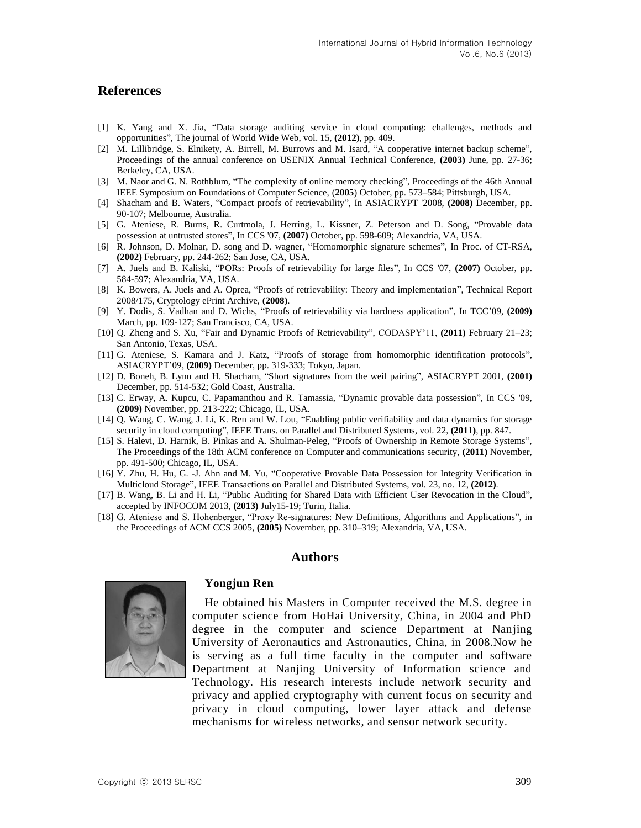## **References**

- [1] K. Yang and X. Jia, "Data storage auditing service in cloud computing: challenges, methods and opportunities", The journal of World Wide Web, vol. 15, **(2012)**, pp. 409.
- [2] M. Lillibridge, S. Elnikety, A. Birrell, M. Burrows and M. Isard, "A cooperative internet backup scheme", Proceedings of the annual conference on USENIX Annual Technical Conference, **(2003)** June, pp. 27-36; Berkeley, CA, USA.
- [3] M. Naor and G. N. Rothblum, "The complexity of online memory checking", Proceedings of the 46th Annual IEEE Symposium on Foundations of Computer Science, (**2005**) October, pp. 573–584; Pittsburgh, USA.
- [4] Shacham and B. Waters, "Compact proofs of retrievability", In ASIACRYPT '2008, **(2008)** December, pp. 90-107; Melbourne, Australia.
- [5] G. Ateniese, R. Burns, R. Curtmola, J. Herring, L. Kissner, Z. Peterson and D. Song, "Provable data possession at untrusted stores", In CCS '07, **(2007)** October, pp. 598-609; Alexandria, VA, USA.
- [6] R. Johnson, D. Molnar, D. song and D. wagner, "Homomorphic signature schemes", In Proc. of CT-RSA, **(2002)** February, pp. 244-262; San Jose, CA, USA.
- [7] A. Juels and B. Kaliski, "PORs: Proofs of retrievability for large files", In CCS '07, **(2007)** October, pp. 584-597; Alexandria, VA, USA.
- [8] K. Bowers, A. Juels and A. Oprea, "Proofs of retrievability: Theory and implementation", Technical Report 2008/175, Cryptology ePrint Archive, **(2008)**.
- [9] Y. Dodis, S. Vadhan and D. Wichs, "Proofs of retrievability via hardness application", In TCC'09, **(2009)** March, pp. 109-127; San Francisco, CA, USA.
- [10] Q. Zheng and S. Xu, "Fair and Dynamic Proofs of Retrievability", CODASPY'11, **(2011)** February 21–23; San Antonio, Texas, USA.
- [11] G. Ateniese, S. Kamara and J. Katz, "Proofs of storage from homomorphic identification protocols", ASIACRYPT'09, **(2009)** December, pp. 319-333; Tokyo, Japan.
- [12] D. Boneh, B. Lynn and H. Shacham, "Short signatures from the weil pairing", ASIACRYPT 2001, **(2001)** December, pp. 514-532; Gold Coast, Australia.
- [13] C. Erway, A. Kupcu, C. Papamanthou and R. Tamassia, "Dynamic provable data possession", In CCS '09, **(2009)** November, pp. 213-222; Chicago, IL, USA.
- [14] Q. Wang, C. Wang, J. Li, K. Ren and W. Lou, "Enabling public verifiability and data dynamics for storage security in cloud computing", IEEE Trans. on Parallel and Distributed Systems, vol. 22, **(2011)**, pp. 847.
- [15] S. Halevi, D. Harnik, B. Pinkas and A. Shulman-Peleg, "Proofs of Ownership in Remote Storage Systems", The Proceedings of the 18th ACM conference on Computer and communications security, **(2011)** November, pp. 491-500; Chicago, IL, USA.
- [16] Y. Zhu, H. Hu, G. -J. Ahn and M. Yu, "Cooperative Provable Data Possession for Integrity Verification in Multicloud Storage", IEEE Transactions on Parallel and Distributed Systems, vol. 23, no. 12, **(2012)**.
- [17] B. Wang, B. Li and H. Li, "Public Auditing for Shared Data with Efficient User Revocation in the Cloud", accepted by INFOCOM 2013, **(2013)** July15-19; Turin, Italia.
- [18] G. Ateniese and S. Hohenberger, "Proxy Re-signatures: New Definitions, Algorithms and Applications", in the Proceedings of ACM CCS 2005, **(2005)** November, pp. 310–319; Alexandria, VA, USA.

## **Authors**



#### **Yongjun Ren**

He obtained his Masters in Computer received the M.S. degree in computer science from HoHai University, China, in 2004 and PhD degree in the computer and science Department at Nanjing University of Aeronautics and Astronautics, China, in 2008.Now he is serving as a full time faculty in the computer and software Department at Nanjing University of Information science and Technology. His research interests include network security and privacy and applied cryptography with current focus on security and privacy in cloud computing, lower layer attack and defense mechanisms for wireless networks, and sensor network security.